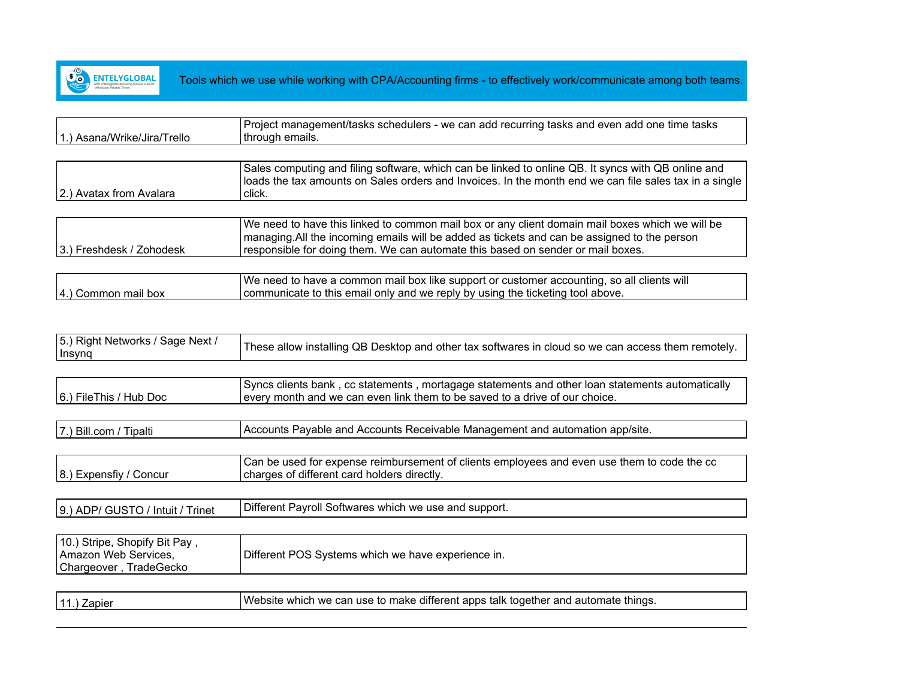

|                           | Project management/tasks schedulers - we can add recurring tasks and even add one time tasks |
|---------------------------|----------------------------------------------------------------------------------------------|
| ) Asana/Wrike/Jira/Trello | Ithrough emails.                                                                             |

|                         | Sales computing and filing software, which can be linked to online QB. It syncs with QB online and<br>  loads the tax amounts on Sales orders and Invoices. In the month end we can file sales tax in a single |
|-------------------------|----------------------------------------------------------------------------------------------------------------------------------------------------------------------------------------------------------------|
| 2.) Avatax from Avalara | click.                                                                                                                                                                                                         |

|                          | We need to have this linked to common mail box or any client domain mail boxes which we will be |
|--------------------------|-------------------------------------------------------------------------------------------------|
|                          | managing. All the incoming emails will be added as tickets and can be assigned to the person    |
| 3.) Freshdesk / Zohodesk | responsible for doing them. We can automate this based on sender or mail boxes.                 |

|                      | We need to have a common mail box like support or customer accounting, so all clients will |
|----------------------|--------------------------------------------------------------------------------------------|
| [4.] Common mail box | communicate to this email only and we reply by using the ticketing tool above.             |

| 5.) Right Networks / Sage Next /<br>Insynq | These allow installing QB Desktop and other tax softwares in cloud so we can access them remotely. |
|--------------------------------------------|----------------------------------------------------------------------------------------------------|
|                                            |                                                                                                    |

|                        | Syncs clients bank, cc statements, mortagage statements and other loan statements automatically |
|------------------------|-------------------------------------------------------------------------------------------------|
| 6.) FileThis / Hub Doc | every month and we can even link them to be saved to a drive of our choice.                     |

| <b>Bill.com</b><br>. Payable and Accounts Receivable Management and automation app/site.<br>Accounts<br>Fibalti |  |
|-----------------------------------------------------------------------------------------------------------------|--|
|-----------------------------------------------------------------------------------------------------------------|--|

8.) Expensfiy / Concur Can be used for expense reimbursement of clients employees and even use them to code the cc charges of different card holders directly.

 $\vert$ 9.) ADP/ GUSTO / Intuit / Trinet  $\vert$ Different Payroll Softwares which we use and support.

| 10.) Stripe, Shopify Bit Pay,<br>Different POS Systems which we have experience in.<br>Amazon Web Services,<br>Chargeover, TradeGecko |  |
|---------------------------------------------------------------------------------------------------------------------------------------|--|
|---------------------------------------------------------------------------------------------------------------------------------------|--|

| Website which we can use to make different apps talk together and automate things. |
|------------------------------------------------------------------------------------|
|                                                                                    |